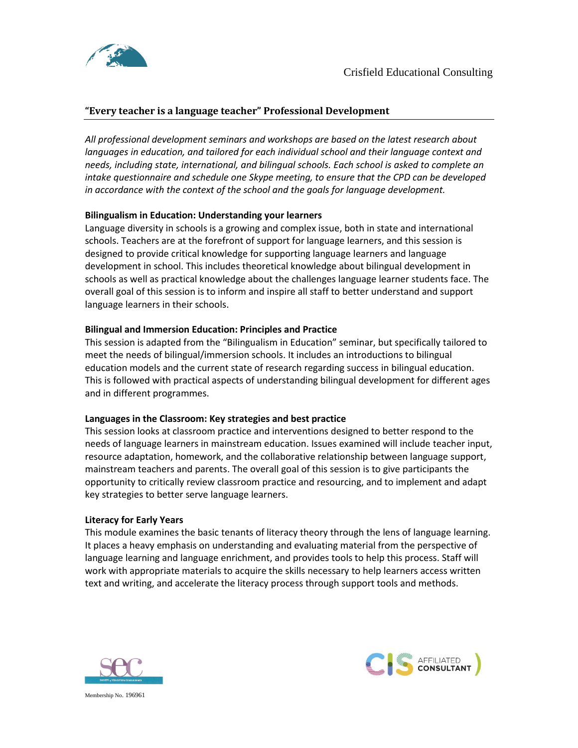



# **"Every teacher is a language teacher" Professional Development**

*All professional development seminars and workshops are based on the latest research about languages in education, and tailored for each individual school and their language context and needs, including state, international, and bilingual schools. Each school is asked to complete an intake questionnaire and schedule one Skype meeting, to ensure that the CPD can be developed in accordance with the context of the school and the goals for language development.* 

# **Bilingualism in Education: Understanding your learners**

Language diversity in schools is a growing and complex issue, both in state and international schools. Teachers are at the forefront of support for language learners, and this session is designed to provide critical knowledge for supporting language learners and language development in school. This includes theoretical knowledge about bilingual development in schools as well as practical knowledge about the challenges language learner students face. The overall goal of this session is to inform and inspire all staff to better understand and support language learners in their schools.

# **Bilingual and Immersion Education: Principles and Practice**

This session is adapted from the "Bilingualism in Education" seminar, but specifically tailored to meet the needs of bilingual/immersion schools. It includes an introductions to bilingual education models and the current state of research regarding success in bilingual education. This is followed with practical aspects of understanding bilingual development for different ages and in different programmes.

# **Languages in the Classroom: Key strategies and best practice**

This session looks at classroom practice and interventions designed to better respond to the needs of language learners in mainstream education. Issues examined will include teacher input, resource adaptation, homework, and the collaborative relationship between language support, mainstream teachers and parents. The overall goal of this session is to give participants the opportunity to critically review classroom practice and resourcing, and to implement and adapt key strategies to better serve language learners.

# **Literacy for Early Years**

This module examines the basic tenants of literacy theory through the lens of language learning. It places a heavy emphasis on understanding and evaluating material from the perspective of language learning and language enrichment, and provides tools to help this process. Staff will work with appropriate materials to acquire the skills necessary to help learners access written text and writing, and accelerate the literacy process through support tools and methods.





Membership No. 196961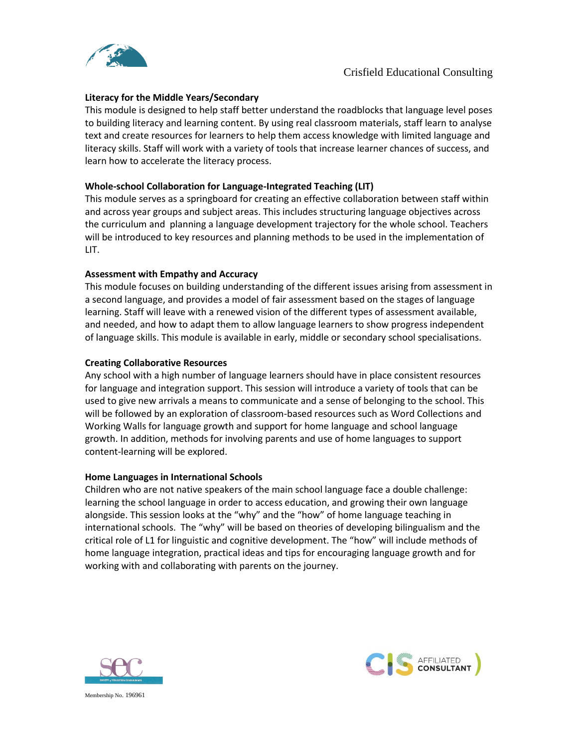

## **Literacy for the Middle Years/Secondary**

This module is designed to help staff better understand the roadblocks that language level poses to building literacy and learning content. By using real classroom materials, staff learn to analyse text and create resources for learners to help them access knowledge with limited language and literacy skills. Staff will work with a variety of tools that increase learner chances of success, and learn how to accelerate the literacy process.

## **Whole-school Collaboration for Language-Integrated Teaching (LIT)**

This module serves as a springboard for creating an effective collaboration between staff within and across year groups and subject areas. This includes structuring language objectives across the curriculum and planning a language development trajectory for the whole school. Teachers will be introduced to key resources and planning methods to be used in the implementation of LIT.

## **Assessment with Empathy and Accuracy**

This module focuses on building understanding of the different issues arising from assessment in a second language, and provides a model of fair assessment based on the stages of language learning. Staff will leave with a renewed vision of the different types of assessment available, and needed, and how to adapt them to allow language learners to show progress independent of language skills. This module is available in early, middle or secondary school specialisations.

## **Creating Collaborative Resources**

Any school with a high number of language learners should have in place consistent resources for language and integration support. This session will introduce a variety of tools that can be used to give new arrivals a means to communicate and a sense of belonging to the school. This will be followed by an exploration of classroom-based resources such as Word Collections and Working Walls for language growth and support for home language and school language growth. In addition, methods for involving parents and use of home languages to support content-learning will be explored.

#### **Home Languages in International Schools**

Children who are not native speakers of the main school language face a double challenge: learning the school language in order to access education, and growing their own language alongside. This session looks at the "why" and the "how" of home language teaching in international schools. The "why" will be based on theories of developing bilingualism and the critical role of L1 for linguistic and cognitive development. The "how" will include methods of home language integration, practical ideas and tips for encouraging language growth and for working with and collaborating with parents on the journey.





Membership No. 196961